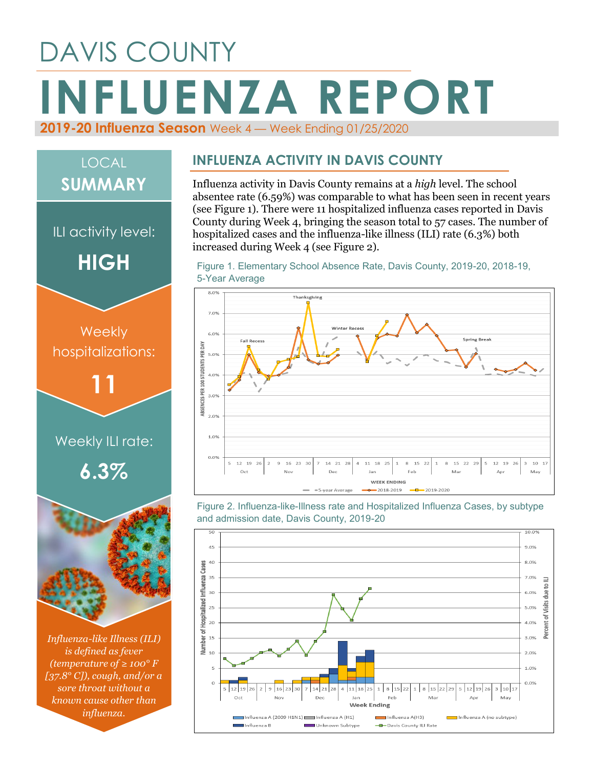# DAVIS COUNTY **INFLUENZA REPORT 2019-20 Influenza Season** Week 4 — Week Ending 01/25/2020



*(temperature of ≥ 100° F [37.8° C]), cough, and/or a sore throat without a known cause other than influenza.*

#### **INFLUENZA ACTIVITY IN DAVIS COUNTY**

Influenza activity in Davis County remains at a *high* level. The school absentee rate (6.59%) was comparable to what has been seen in recent years (see Figure 1). There were 11 hospitalized influenza cases reported in Davis County during Week 4, bringing the season total to 57 cases. The number of hospitalized cases and the influenza-like illness (ILI) rate (6.3%) both increased during Week 4 (see Figure 2).





Figure 2. Influenza-like-Illness rate and Hospitalized Influenza Cases, by subtype and admission date, Davis County, 2019-20